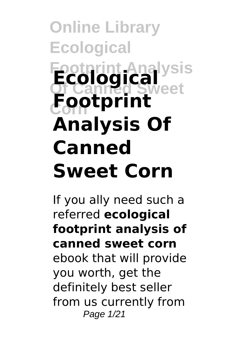# **Online Library Ecological Footprint Analysis Ecological Of Canned Sweet Corn Footprint Analysis Of Canned Sweet Corn**

If you ally need such a referred **ecological footprint analysis of canned sweet corn** ebook that will provide you worth, get the definitely best seller from us currently from Page 1/21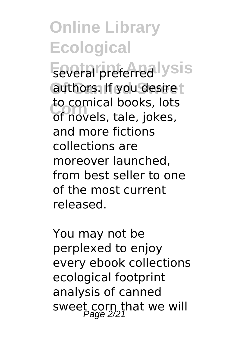**Feveral preferred lysis** authors. If you desire t **Corn** of novels, tale, jokes, to comical books, lots and more fictions collections are moreover launched, from best seller to one of the most current released.

You may not be perplexed to enjoy every ebook collections ecological footprint analysis of canned sweet corn that we will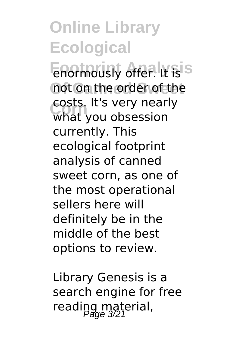**Enormously offer.** It is S not on the order of the **Corn** what you obsession costs. It's very nearly currently. This ecological footprint analysis of canned sweet corn, as one of the most operational sellers here will definitely be in the middle of the best options to review.

Library Genesis is a search engine for free reading material,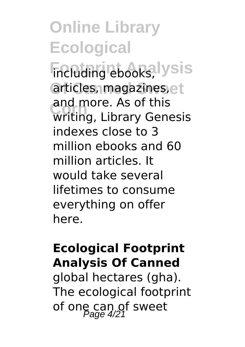**Footprint Analysis** including ebooks, articles, magazines, et and more. As or this<br>
writing, Library Genesis and more. As of this indexes close to 3 million ebooks and 60 million articles. It would take several lifetimes to consume everything on offer here.

#### **Ecological Footprint Analysis Of Canned**

global hectares (gha). The ecological footprint of one can of sweet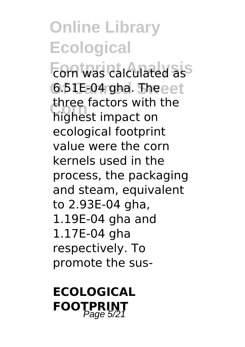**Footprint Analysis** corn was calculated as **Of Canned Sweet** 6.51E-04 gha. The **Corn** highest impact on three factors with the ecological footprint value were the corn kernels used in the process, the packaging and steam, equivalent to 2.93E-04 gha, 1.19E-04 gha and 1.17E-04 gha respectively. To promote the sus-

#### **ECOLOGICAL FOOTPRINT**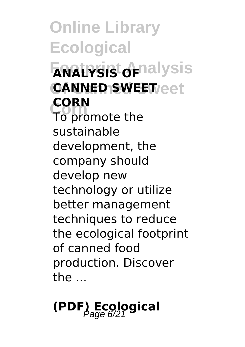**Online Library Ecological**  $F$ anatysis<sup>t</sup> of nalysis **Of Canned Sweet CANNED SWEET Corn** To promote the **CORN** sustainable development, the company should develop new technology or utilize better management techniques to reduce the ecological footprint of canned food production. Discover the ...

# **(PDF) Ecological** Page 6/21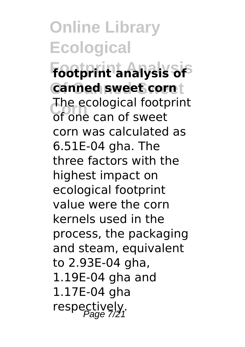**Footprint Analysis footprint analysis of Of Canned Sweet canned sweet corn Corn** of one can of sweet The ecological footprint corn was calculated as 6.51E-04 gha. The three factors with the highest impact on ecological footprint value were the corn kernels used in the process, the packaging and steam, equivalent to 2.93E-04 gha, 1.19E-04 gha and 1.17E-04 gha respectively,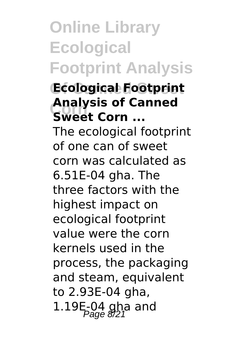## **Online Library Ecological Footprint Analysis**

#### **Of Canned Sweet Ecological Footprint Corn Sweet Corn ... Analysis of Canned**

The ecological footprint of one can of sweet corn was calculated as 6.51E-04 gha. The three factors with the highest impact on ecological footprint value were the corn kernels used in the process, the packaging and steam, equivalent to 2.93E-04 gha, 1.19E-04 gha and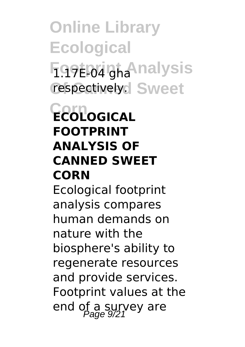**Online Library Ecological Footprigh Analysis** respectively. Sweet

#### **Corn ECOLOGICAL FOOTPRINT ANALYSIS OF CANNED SWEET CORN**

Ecological footprint analysis compares human demands on nature with the biosphere's ability to regenerate resources and provide services. Footprint values at the end of a survey are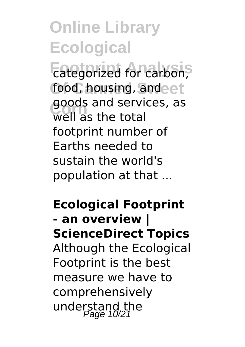**Footprint Analysis** categorized for carbon, food, housing, andeet **Corn** well as the total goods and services, as footprint number of Earths needed to sustain the world's population at that ...

**Ecological Footprint - an overview | ScienceDirect Topics** Although the Ecological Footprint is the best measure we have to comprehensively understand the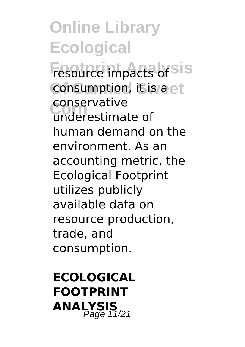**Fesource impacts of sis** consumption, it is a et **Corn** underestimate of conservative human demand on the environment. As an accounting metric, the Ecological Footprint utilizes publicly available data on resource production, trade, and consumption.

**ECOLOGICAL FOOTPRINT ANALYSIS**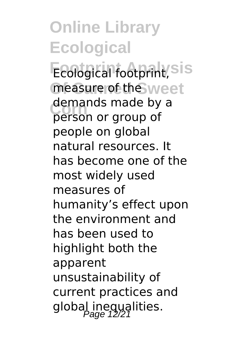**Ecological footprint**, sis measure of the weet demands made by a<br>
person or group of person or group of people on global natural resources. It has become one of the most widely used measures of humanity's effect upon the environment and has been used to highlight both the apparent unsustainability of current practices and global inequalities.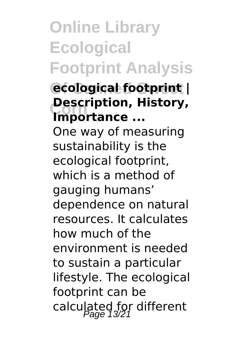## **Online Library Ecological Footprint Analysis**

#### **Of Canned Sweet ecological footprint | Corn Description, History, Importance ...**

One way of measuring sustainability is the ecological footprint, which is a method of gauging humans' dependence on natural resources. It calculates how much of the environment is needed to sustain a particular lifestyle. The ecological footprint can be calculated for different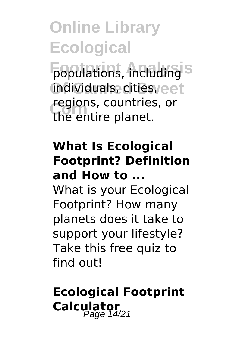**Footlations, including**<sup>S</sup> **Of Canned Sweet** individuals, cities, **regions, countries, or**<br>the entire planet the entire planet.

#### **What Is Ecological Footprint? Definition and How to ...**

What is your Ecological Footprint? How many planets does it take to support your lifestyle? Take this free quiz to find out!

#### **Ecological Footprint Calculator**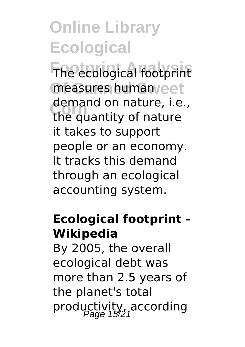**Footprint Analysis** The ecological footprint measures human<sub>/eet</sub> **Corn** the quantity of nature demand on nature, i.e., it takes to support people or an economy. It tracks this demand through an ecological accounting system.

#### **Ecological footprint - Wikipedia**

By 2005, the overall ecological debt was more than 2.5 years of the planet's total productivity, according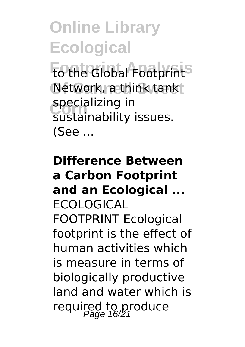**Fo the Global Footprint<sup>S</sup>** Network, a think tank **specializing in**<br>
sustainability sustainability issues. (See ...

#### **Difference Between a Carbon Footprint and an Ecological ...** ECOLOGICAL FOOTPRINT Ecological footprint is the effect of human activities which is measure in terms of biologically productive land and water which is required to produce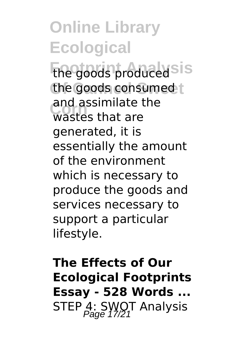**Footprint Analysis** the goods produced the goods consumed t **Corn** wastes that are and assimilate the generated, it is essentially the amount of the environment which is necessary to produce the goods and services necessary to support a particular lifestyle.

**The Effects of Our Ecological Footprints Essay - 528 Words ...** STEP 4: SWOT Analysis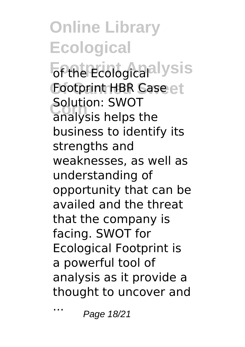*<u><b>Fthe Ecological</u>* Iysis Footprint HBR Case et **Solution: SWOT**<br>
analysis helps the Solution: SWOT business to identify its strengths and weaknesses, as well as understanding of opportunity that can be availed and the threat that the company is facing. SWOT for Ecological Footprint is a powerful tool of analysis as it provide a thought to uncover and

... Page 18/21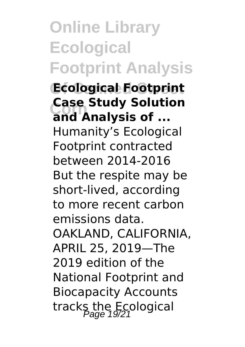### **Online Library Ecological Footprint Analysis**

**Of Canned Sweet Ecological Footprint Corn and Analysis of ... Case Study Solution** Humanity's Ecological Footprint contracted between 2014-2016 But the respite may be short-lived, according to more recent carbon emissions data. OAKLAND, CALIFORNIA, APRIL 25, 2019—The 2019 edition of the National Footprint and Biocapacity Accounts tracks the Ecological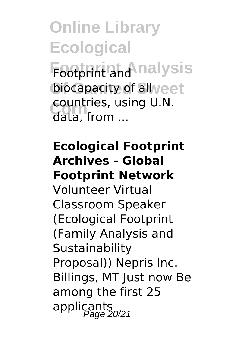**Footprint Analysis** Footprint and biocapacity of all veet **Corn** data, from ... countries, using U.N.

#### **Ecological Footprint Archives - Global Footprint Network**

Volunteer Virtual Classroom Speaker (Ecological Footprint (Family Analysis and Sustainability Proposal)) Nepris Inc. Billings, MT Just now Be among the first 25 applicants<br>applicants